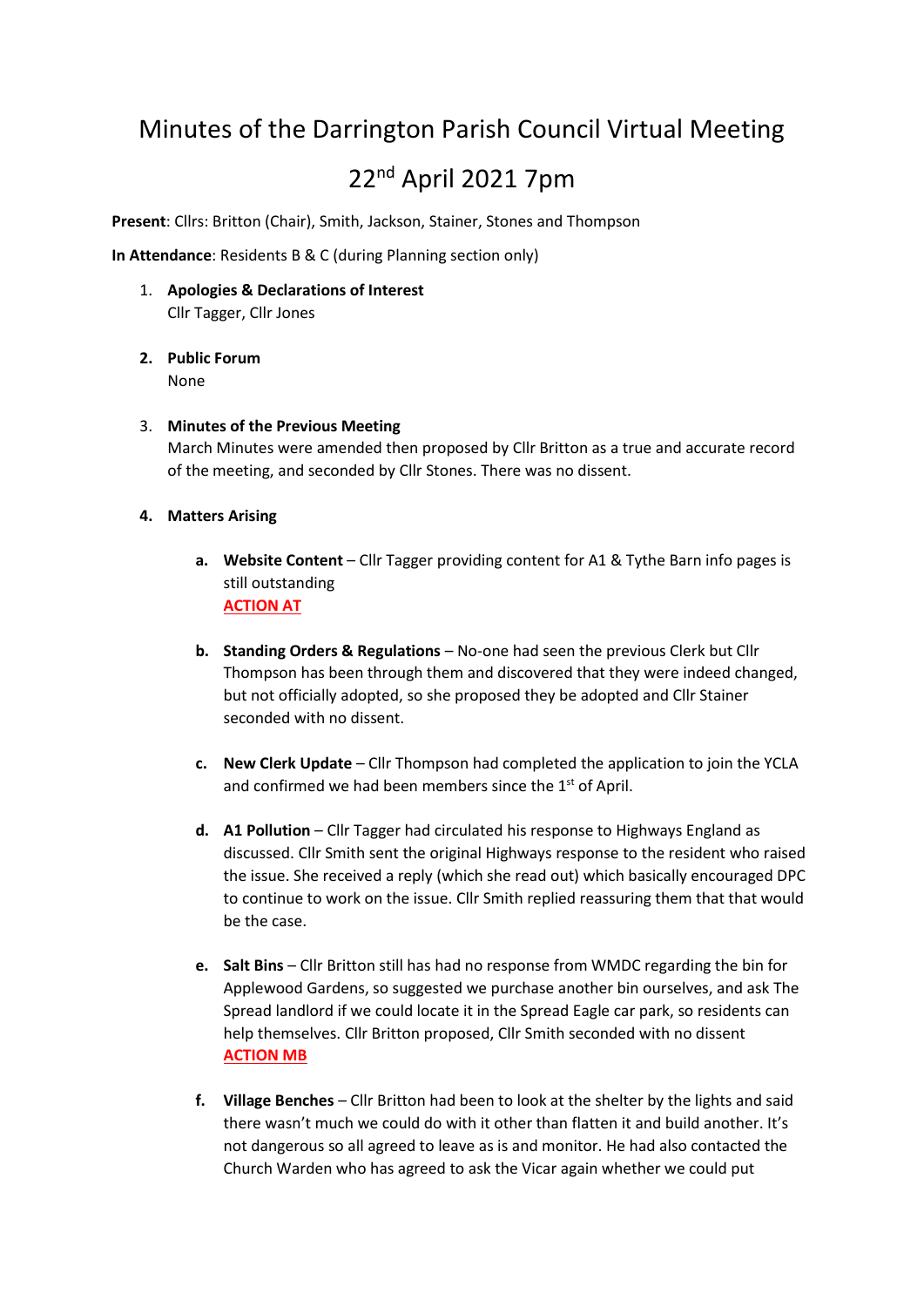# Minutes of the Darrington Parish Council Virtual Meeting 22nd April 2021 7pm

**Present**: Cllrs: Britton (Chair), Smith, Jackson, Stainer, Stones and Thompson

**In Attendance**: Residents B & C (during Planning section only)

- 1. **Apologies & Declarations of Interest** Cllr Tagger, Cllr Jones
- **2. Public Forum** None
- 3. **Minutes of the Previous Meeting** March Minutes were amended then proposed by Cllr Britton as a true and accurate record of the meeting, and seconded by Cllr Stones. There was no dissent.
- **4. Matters Arising**
	- **a. Website Content** Cllr Tagger providing content for A1 & Tythe Barn info pages is still outstanding **ACTION AT**
	- **b. Standing Orders & Regulations** No-one had seen the previous Clerk but Cllr Thompson has been through them and discovered that they were indeed changed, but not officially adopted, so she proposed they be adopted and Cllr Stainer seconded with no dissent.
	- **c. New Clerk Update** Cllr Thompson had completed the application to join the YCLA and confirmed we had been members since the  $1<sup>st</sup>$  of April.
	- **d. A1 Pollution** Cllr Tagger had circulated his response to Highways England as discussed. Cllr Smith sent the original Highways response to the resident who raised the issue. She received a reply (which she read out) which basically encouraged DPC to continue to work on the issue. Cllr Smith replied reassuring them that that would be the case.
	- **e. Salt Bins** Cllr Britton still has had no response from WMDC regarding the bin for Applewood Gardens, so suggested we purchase another bin ourselves, and ask The Spread landlord if we could locate it in the Spread Eagle car park, so residents can help themselves. Cllr Britton proposed, Cllr Smith seconded with no dissent **ACTION MB**
	- **f. Village Benches** Cllr Britton had been to look at the shelter by the lights and said there wasn't much we could do with it other than flatten it and build another. It's not dangerous so all agreed to leave as is and monitor. He had also contacted the Church Warden who has agreed to ask the Vicar again whether we could put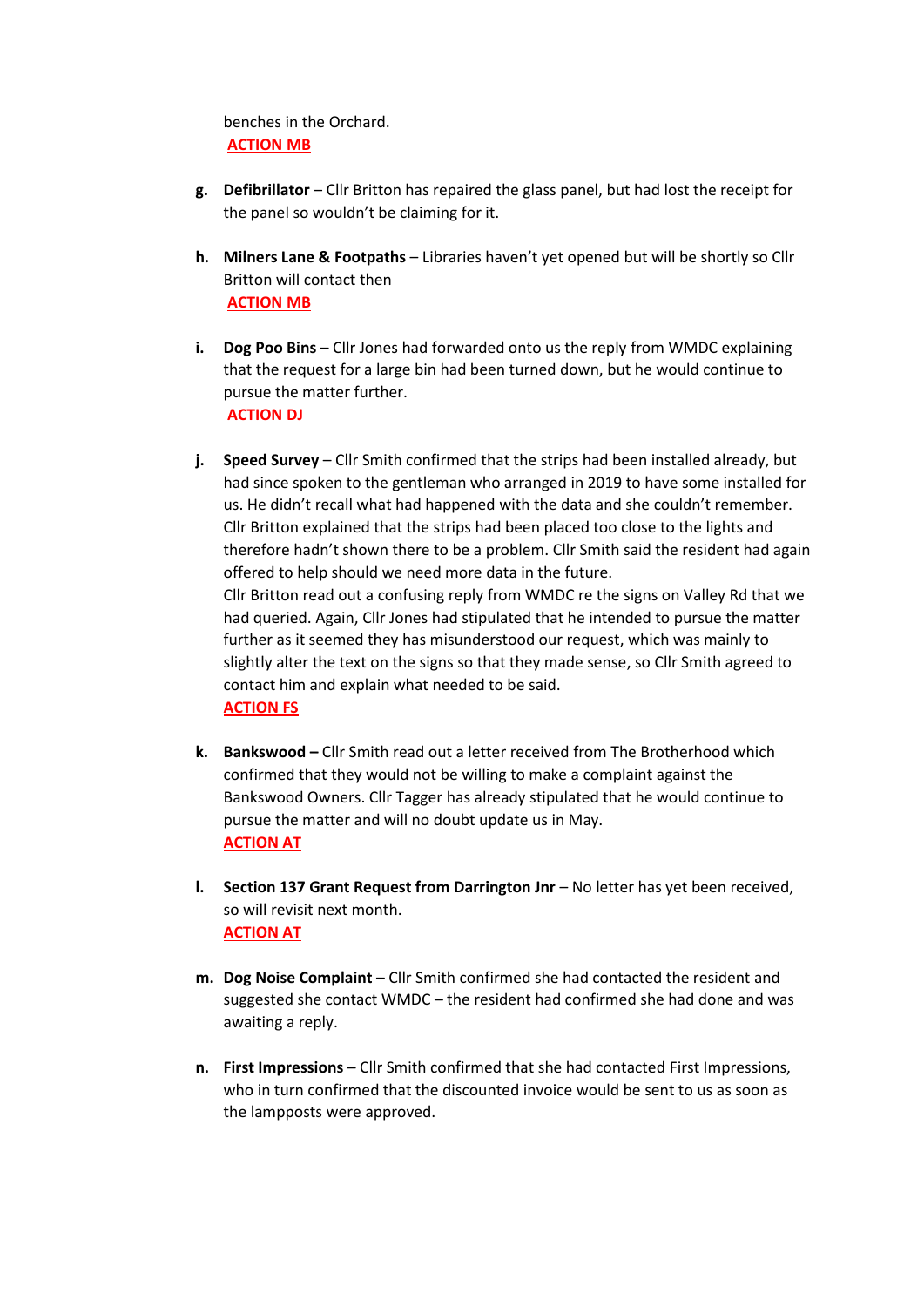benches in the Orchard. **ACTION MB**

- **g. Defibrillator** Cllr Britton has repaired the glass panel, but had lost the receipt for the panel so wouldn't be claiming for it.
- **h. Milners Lane & Footpaths** Libraries haven't yet opened but will be shortly so Cllr Britton will contact then **ACTION MB**
- **i. Dog Poo Bins** Cllr Jones had forwarded onto us the reply from WMDC explaining that the request for a large bin had been turned down, but he would continue to pursue the matter further. **ACTION DJ**
- **j. Speed Survey** Cllr Smith confirmed that the strips had been installed already, but had since spoken to the gentleman who arranged in 2019 to have some installed for us. He didn't recall what had happened with the data and she couldn't remember. Cllr Britton explained that the strips had been placed too close to the lights and therefore hadn't shown there to be a problem. Cllr Smith said the resident had again offered to help should we need more data in the future. Cllr Britton read out a confusing reply from WMDC re the signs on Valley Rd that we had queried. Again, Cllr Jones had stipulated that he intended to pursue the matter further as it seemed they has misunderstood our request, which was mainly to slightly alter the text on the signs so that they made sense, so Cllr Smith agreed to contact him and explain what needed to be said. **ACTION FS**
- **k. Bankswood –** Cllr Smith read out a letter received from The Brotherhood which confirmed that they would not be willing to make a complaint against the Bankswood Owners. Cllr Tagger has already stipulated that he would continue to pursue the matter and will no doubt update us in May. **ACTION AT**
- **l. Section 137 Grant Request from Darrington Jnr** No letter has yet been received, so will revisit next month. **ACTION AT**
- **m. Dog Noise Complaint** Cllr Smith confirmed she had contacted the resident and suggested she contact WMDC – the resident had confirmed she had done and was awaiting a reply.
- **n. First Impressions** Cllr Smith confirmed that she had contacted First Impressions, who in turn confirmed that the discounted invoice would be sent to us as soon as the lampposts were approved.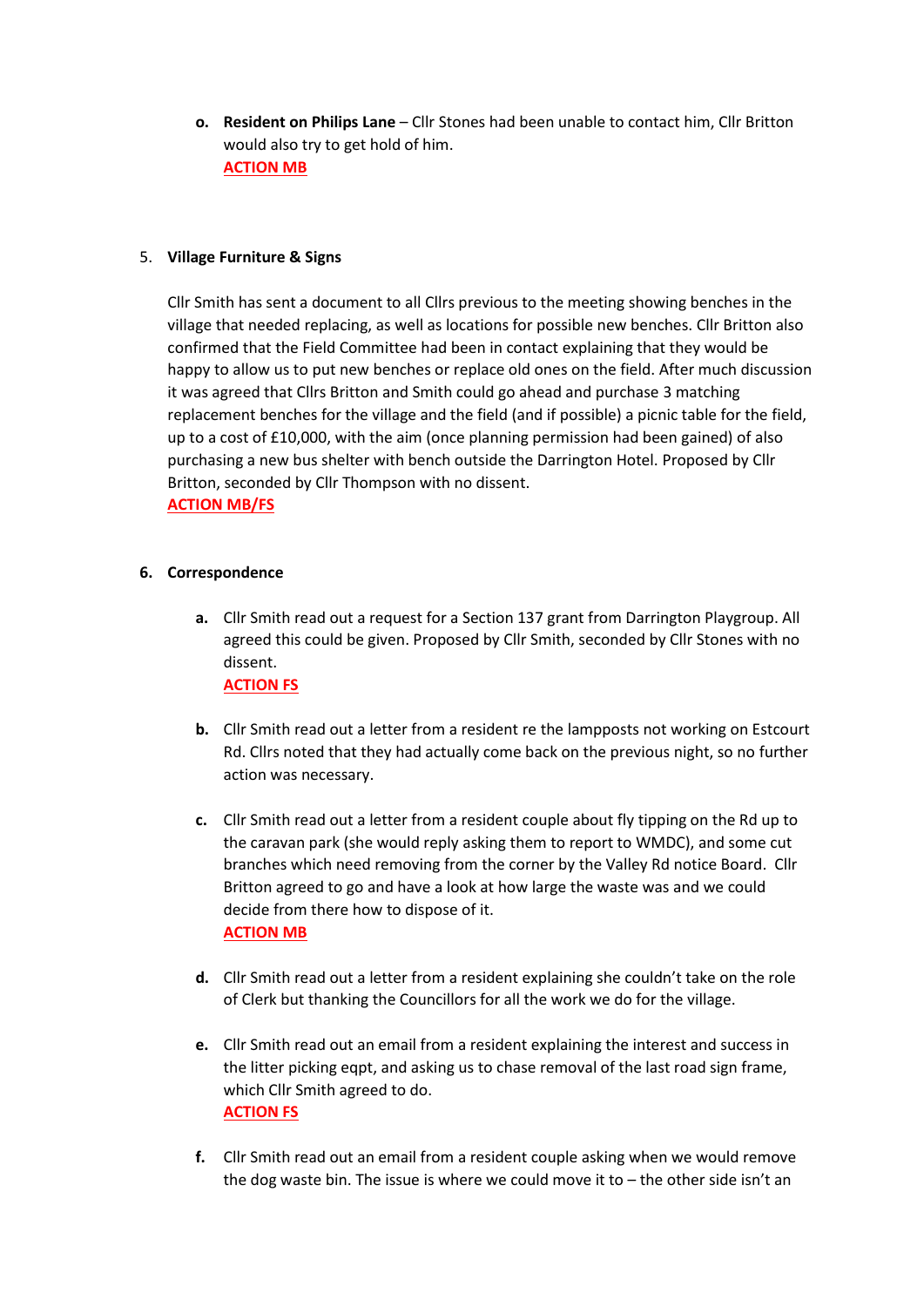**o. Resident on Philips Lane** – Cllr Stones had been unable to contact him, Cllr Britton would also try to get hold of him. **ACTION MB**

# 5. **Village Furniture & Signs**

Cllr Smith has sent a document to all Cllrs previous to the meeting showing benches in the village that needed replacing, as well as locations for possible new benches. Cllr Britton also confirmed that the Field Committee had been in contact explaining that they would be happy to allow us to put new benches or replace old ones on the field. After much discussion it was agreed that Cllrs Britton and Smith could go ahead and purchase 3 matching replacement benches for the village and the field (and if possible) a picnic table for the field, up to a cost of £10,000, with the aim (once planning permission had been gained) of also purchasing a new bus shelter with bench outside the Darrington Hotel. Proposed by Cllr Britton, seconded by Cllr Thompson with no dissent.

## **ACTION MB/FS**

## **6. Correspondence**

- **a.** Cllr Smith read out a request for a Section 137 grant from Darrington Playgroup. All agreed this could be given. Proposed by Cllr Smith, seconded by Cllr Stones with no dissent. **ACTION FS**
- **b.** Cllr Smith read out a letter from a resident re the lampposts not working on Estcourt Rd. Cllrs noted that they had actually come back on the previous night, so no further action was necessary.
- **c.** Cllr Smith read out a letter from a resident couple about fly tipping on the Rd up to the caravan park (she would reply asking them to report to WMDC), and some cut branches which need removing from the corner by the Valley Rd notice Board. Cllr Britton agreed to go and have a look at how large the waste was and we could decide from there how to dispose of it. **ACTION MB**
- **d.** Cllr Smith read out a letter from a resident explaining she couldn't take on the role of Clerk but thanking the Councillors for all the work we do for the village.
- **e.** Cllr Smith read out an email from a resident explaining the interest and success in the litter picking eqpt, and asking us to chase removal of the last road sign frame, which Cllr Smith agreed to do. **ACTION FS**
- **f.** Cllr Smith read out an email from a resident couple asking when we would remove the dog waste bin. The issue is where we could move it to  $-$  the other side isn't an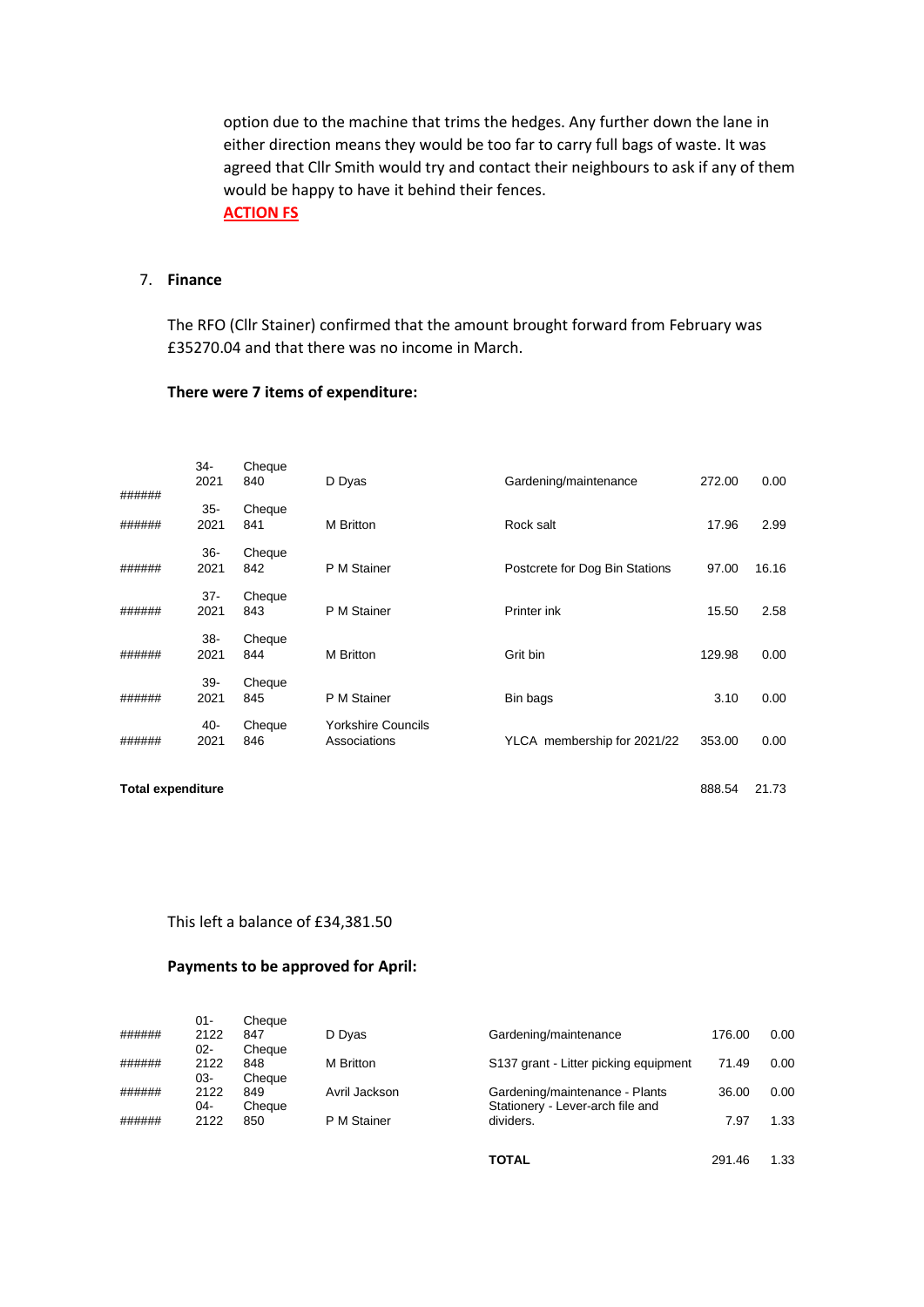option due to the machine that trims the hedges. Any further down the lane in either direction means they would be too far to carry full bags of waste. It was agreed that Cllr Smith would try and contact their neighbours to ask if any of them would be happy to have it behind their fences. **ACTION FS**

## 7. **Finance**

The RFO (Cllr Stainer) confirmed that the amount brought forward from February was £35270.04 and that there was no income in March.

## **There were 7 items of expenditure:**

| ###### | $34-$<br>2021  | Cheque<br>840 | D Dyas                                    | Gardening/maintenance          | 272.00 | 0.00  |
|--------|----------------|---------------|-------------------------------------------|--------------------------------|--------|-------|
| ###### | $35 -$<br>2021 | Cheque<br>841 | M Britton                                 | Rock salt                      | 17.96  | 2.99  |
| ###### | $36 -$<br>2021 | Cheque<br>842 | P M Stainer                               | Postcrete for Dog Bin Stations | 97.00  | 16.16 |
| ###### | $37 -$<br>2021 | Cheque<br>843 | P M Stainer                               | Printer ink                    | 15.50  | 2.58  |
| ###### | $38 -$<br>2021 | Cheque<br>844 | M Britton                                 | Grit bin                       | 129.98 | 0.00  |
| ###### | $39 -$<br>2021 | Cheque<br>845 | P M Stainer                               | Bin bags                       | 3.10   | 0.00  |
| ###### | 40-<br>2021    | Cheque<br>846 | <b>Yorkshire Councils</b><br>Associations | YLCA membership for 2021/22    | 353.00 | 0.00  |
|        |                |               |                                           |                                |        |       |

**Total expenditure** 888.54 21.73

This left a balance of £34,381.50

#### **Payments to be approved for April:**

|        | 01-  | Cheque |               |                                       |        |      |
|--------|------|--------|---------------|---------------------------------------|--------|------|
| ###### | 2122 | 847    | D Dyas        | Gardening/maintenance                 | 176.00 | 0.00 |
|        | 02-  | Cheaue |               |                                       |        |      |
| ###### | 2122 | 848    | M Britton     | S137 grant - Litter picking equipment | 71.49  | 0.00 |
|        | 03-  | Cheaue |               |                                       |        |      |
| ###### | 2122 | 849    | Avril Jackson | Gardening/maintenance - Plants        | 36.00  | 0.00 |
|        | 04-  | Cheque |               | Stationery - Lever-arch file and      |        |      |
| ###### | 2122 | 850    | P M Stainer   | dividers.                             | 7.97   | 1.33 |
|        |      |        |               |                                       |        |      |

**TOTAL** 291.46 1.33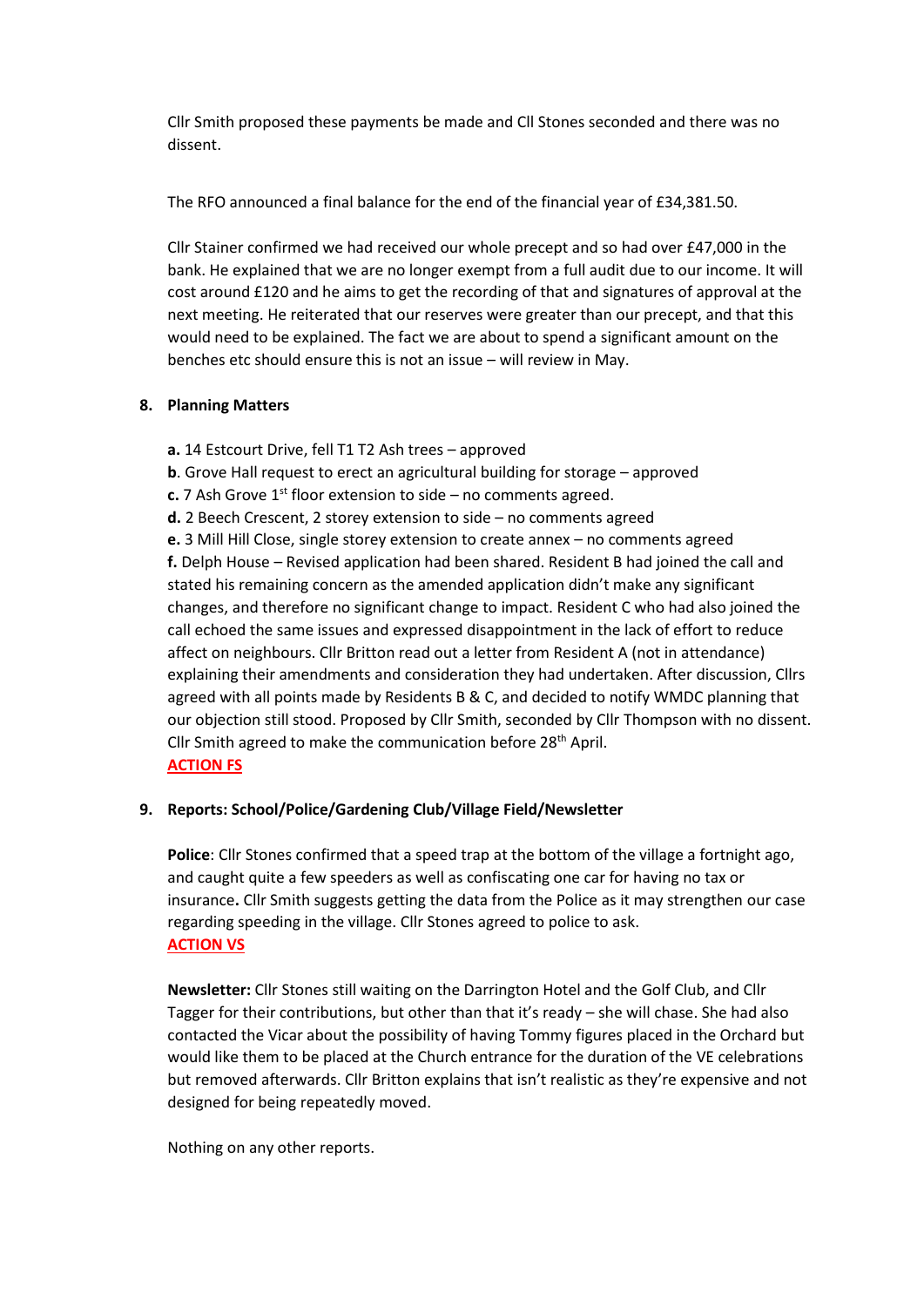Cllr Smith proposed these payments be made and Cll Stones seconded and there was no dissent.

The RFO announced a final balance for the end of the financial year of £34,381.50.

Cllr Stainer confirmed we had received our whole precept and so had over £47,000 in the bank. He explained that we are no longer exempt from a full audit due to our income. It will cost around £120 and he aims to get the recording of that and signatures of approval at the next meeting. He reiterated that our reserves were greater than our precept, and that this would need to be explained. The fact we are about to spend a significant amount on the benches etc should ensure this is not an issue – will review in May.

# **8. Planning Matters**

**a.** 14 Estcourt Drive, fell T1 T2 Ash trees – approved

- **b**. Grove Hall request to erect an agricultural building for storage approved
- **c.** 7 Ash Grove  $1^{st}$  floor extension to side no comments agreed.
- **d.** 2 Beech Crescent, 2 storey extension to side no comments agreed

**e.** 3 Mill Hill Close, single storey extension to create annex – no comments agreed **f.** Delph House – Revised application had been shared. Resident B had joined the call and stated his remaining concern as the amended application didn't make any significant changes, and therefore no significant change to impact. Resident C who had also joined the call echoed the same issues and expressed disappointment in the lack of effort to reduce affect on neighbours. Cllr Britton read out a letter from Resident A (not in attendance) explaining their amendments and consideration they had undertaken. After discussion, Cllrs agreed with all points made by Residents B & C, and decided to notify WMDC planning that our objection still stood. Proposed by Cllr Smith, seconded by Cllr Thompson with no dissent. Cllr Smith agreed to make the communication before 28<sup>th</sup> April. **ACTION FS**

# **9. Reports: School/Police/Gardening Club/Village Field/Newsletter**

**Police**: Cllr Stones confirmed that a speed trap at the bottom of the village a fortnight ago, and caught quite a few speeders as well as confiscating one car for having no tax or insurance**.** Cllr Smith suggests getting the data from the Police as it may strengthen our case regarding speeding in the village. Cllr Stones agreed to police to ask. **ACTION VS**

**Newsletter:** Cllr Stones still waiting on the Darrington Hotel and the Golf Club, and Cllr Tagger for their contributions, but other than that it's ready – she will chase. She had also contacted the Vicar about the possibility of having Tommy figures placed in the Orchard but would like them to be placed at the Church entrance for the duration of the VE celebrations but removed afterwards. Cllr Britton explains that isn't realistic as they're expensive and not designed for being repeatedly moved.

Nothing on any other reports.